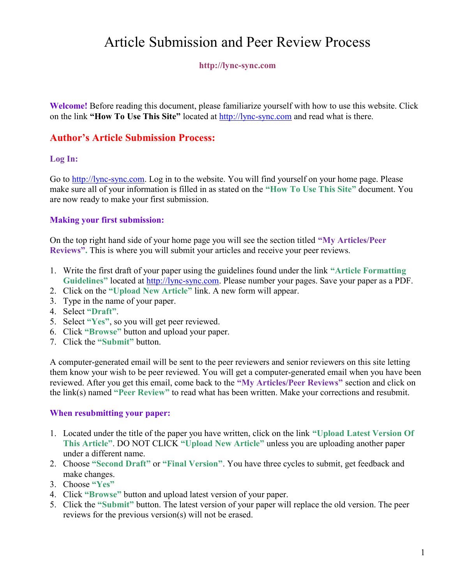# Article Submission and Peer Review Process

#### http://lync-sync.com

Welcome! Before reading this document, please familiarize yourself with how to use this website. Click on the link "How To Use This Site" located at http://lync-sync.com and read what is there.

# Author's Article Submission Process:

#### Log In:

Go to http://lync-sync.com. Log in to the website. You will find yourself on your home page. Please make sure all of your information is filled in as stated on the "How To Use This Site" document. You are now ready to make your first submission.

#### Making your first submission:

On the top right hand side of your home page you will see the section titled "My Articles/Peer Reviews". This is where you will submit your articles and receive your peer reviews.

- 1. Write the first draft of your paper using the guidelines found under the link "Article Formatting Guidelines" located at http://lync-sync.com. Please number your pages. Save your paper as a PDF.
- 2. Click on the "Upload New Article" link. A new form will appear.
- 3. Type in the name of your paper.
- 4. Select "Draft".
- 5. Select "Yes", so you will get peer reviewed.
- 6. Click "Browse" button and upload your paper.
- 7. Click the "Submit" button.

A computer-generated email will be sent to the peer reviewers and senior reviewers on this site letting them know your wish to be peer reviewed. You will get a computer-generated email when you have been reviewed. After you get this email, come back to the "My Articles/Peer Reviews" section and click on the link(s) named "Peer Review" to read what has been written. Make your corrections and resubmit.

#### When resubmitting your paper:

- 1. Located under the title of the paper you have written, click on the link "Upload Latest Version Of This Article". DO NOT CLICK "Upload New Article" unless you are uploading another paper under a different name.
- 2. Choose "Second Draft" or "Final Version". You have three cycles to submit, get feedback and make changes.
- 3. Choose "Yes"
- 4. Click "Browse" button and upload latest version of your paper.
- 5. Click the "Submit" button. The latest version of your paper will replace the old version. The peer reviews for the previous version(s) will not be erased.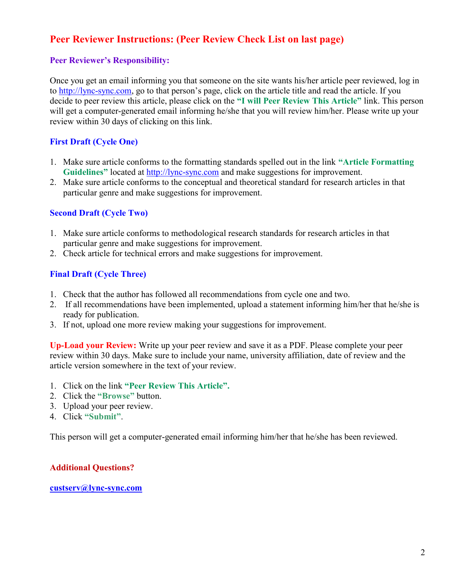# Peer Reviewer Instructions: (Peer Review Check List on last page)

#### Peer Reviewer's Responsibility:

Once you get an email informing you that someone on the site wants his/her article peer reviewed, log in to http://lync-sync.com, go to that person's page, click on the article title and read the article. If you decide to peer review this article, please click on the "I will Peer Review This Article" link. This person will get a computer-generated email informing he/she that you will review him/her. Please write up your review within 30 days of clicking on this link.

# First Draft (Cycle One)

- 1. Make sure article conforms to the formatting standards spelled out in the link "Article Formatting Guidelines" located at http://lync-sync.com and make suggestions for improvement.
- 2. Make sure article conforms to the conceptual and theoretical standard for research articles in that particular genre and make suggestions for improvement.

## Second Draft (Cycle Two)

- 1. Make sure article conforms to methodological research standards for research articles in that particular genre and make suggestions for improvement.
- 2. Check article for technical errors and make suggestions for improvement.

## Final Draft (Cycle Three)

- 1. Check that the author has followed all recommendations from cycle one and two.
- 2. If all recommendations have been implemented, upload a statement informing him/her that he/she is ready for publication.
- 3. If not, upload one more review making your suggestions for improvement.

Up-Load your Review: Write up your peer review and save it as a PDF. Please complete your peer review within 30 days. Make sure to include your name, university affiliation, date of review and the article version somewhere in the text of your review.

- 1. Click on the link "Peer Review This Article".
- 2. Click the "Browse" button.
- 3. Upload your peer review.
- 4. Click "Submit".

This person will get a computer-generated email informing him/her that he/she has been reviewed.

# Additional Questions?

#### custserv@lync-sync.com